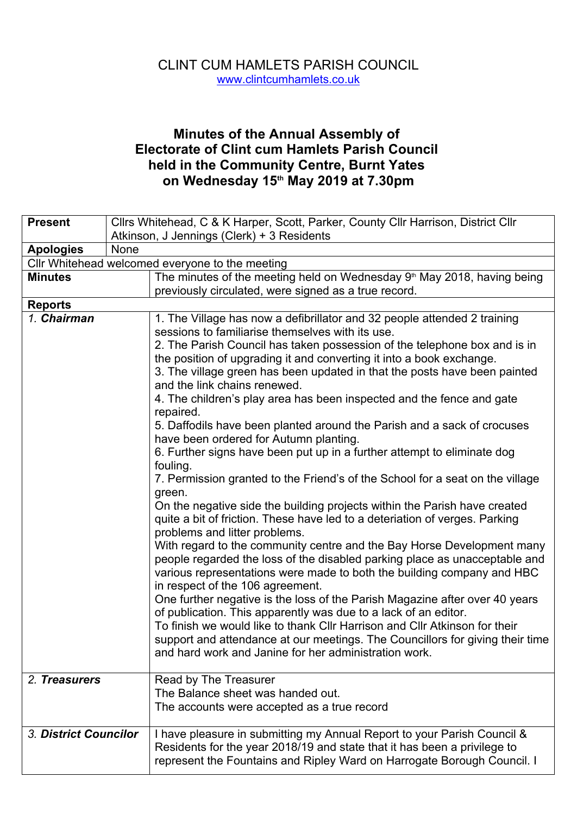## CLINT CUM HAMLETS PARISH COUNCIL www.clintcumhamlets.co.uk

## **Minutes of the Annual Assembly of Electorate of Clint cum Hamlets Parish Council held in the Community Centre, Burnt Yates on Wednesday 15th May 2019 at 7.30pm**

| <b>Present</b>        | Cllrs Whitehead, C & K Harper, Scott, Parker, County Cllr Harrison, District Cllr                                                                                                                                              |
|-----------------------|--------------------------------------------------------------------------------------------------------------------------------------------------------------------------------------------------------------------------------|
|                       | Atkinson, J Jennings (Clerk) + 3 Residents                                                                                                                                                                                     |
| <b>Apologies</b>      | <b>None</b>                                                                                                                                                                                                                    |
|                       | Cllr Whitehead welcomed everyone to the meeting                                                                                                                                                                                |
| <b>Minutes</b>        | The minutes of the meeting held on Wednesday 9 <sup>th</sup> May 2018, having being                                                                                                                                            |
|                       | previously circulated, were signed as a true record.                                                                                                                                                                           |
| <b>Reports</b>        |                                                                                                                                                                                                                                |
| 1. Chairman           | 1. The Village has now a defibrillator and 32 people attended 2 training<br>sessions to familiarise themselves with its use.                                                                                                   |
|                       | 2. The Parish Council has taken possession of the telephone box and is in                                                                                                                                                      |
|                       | the position of upgrading it and converting it into a book exchange.                                                                                                                                                           |
|                       | 3. The village green has been updated in that the posts have been painted<br>and the link chains renewed.                                                                                                                      |
|                       | 4. The children's play area has been inspected and the fence and gate<br>repaired.                                                                                                                                             |
|                       | 5. Daffodils have been planted around the Parish and a sack of crocuses<br>have been ordered for Autumn planting.                                                                                                              |
|                       | 6. Further signs have been put up in a further attempt to eliminate dog<br>fouling.                                                                                                                                            |
|                       | 7. Permission granted to the Friend's of the School for a seat on the village<br>green.                                                                                                                                        |
|                       | On the negative side the building projects within the Parish have created<br>quite a bit of friction. These have led to a deteriation of verges. Parking<br>problems and litter problems.                                      |
|                       | With regard to the community centre and the Bay Horse Development many<br>people regarded the loss of the disabled parking place as unacceptable and<br>various representations were made to both the building company and HBC |
|                       | in respect of the 106 agreement.<br>One further negative is the loss of the Parish Magazine after over 40 years<br>of publication. This apparently was due to a lack of an editor.                                             |
|                       | To finish we would like to thank Cllr Harrison and Cllr Atkinson for their<br>support and attendance at our meetings. The Councillors for giving their time<br>and hard work and Janine for her administration work.           |
| 2. Treasurers         | Read by The Treasurer<br>The Balance sheet was handed out.<br>The accounts were accepted as a true record                                                                                                                      |
| 3. District Councilor | I have pleasure in submitting my Annual Report to your Parish Council &<br>Residents for the year 2018/19 and state that it has been a privilege to<br>represent the Fountains and Ripley Ward on Harrogate Borough Council. I |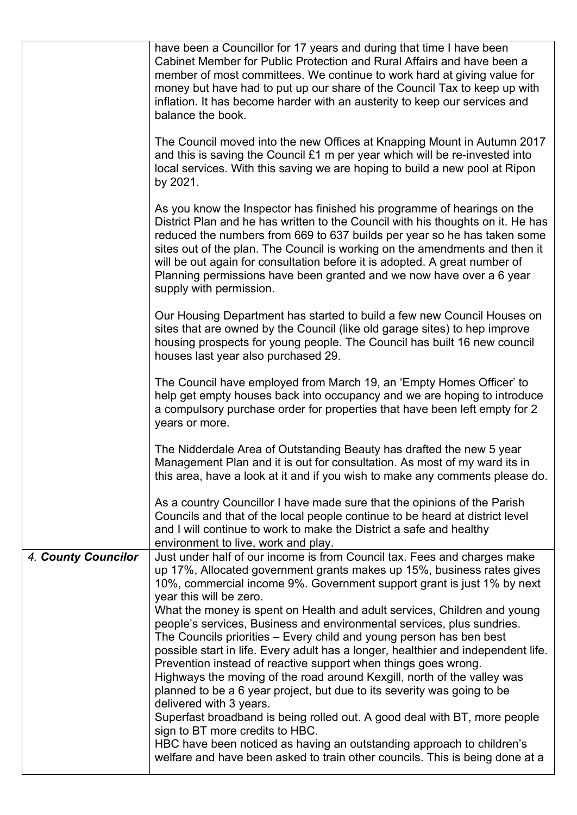|                     | have been a Councillor for 17 years and during that time I have been<br>Cabinet Member for Public Protection and Rural Affairs and have been a<br>member of most committees. We continue to work hard at giving value for<br>money but have had to put up our share of the Council Tax to keep up with<br>inflation. It has become harder with an austerity to keep our services and<br>balance the book.                                                                                                                                                                                                                                                                                                                                                  |
|---------------------|------------------------------------------------------------------------------------------------------------------------------------------------------------------------------------------------------------------------------------------------------------------------------------------------------------------------------------------------------------------------------------------------------------------------------------------------------------------------------------------------------------------------------------------------------------------------------------------------------------------------------------------------------------------------------------------------------------------------------------------------------------|
|                     | The Council moved into the new Offices at Knapping Mount in Autumn 2017<br>and this is saving the Council $£1$ m per year which will be re-invested into<br>local services. With this saving we are hoping to build a new pool at Ripon<br>by 2021.                                                                                                                                                                                                                                                                                                                                                                                                                                                                                                        |
|                     | As you know the Inspector has finished his programme of hearings on the<br>District Plan and he has written to the Council with his thoughts on it. He has<br>reduced the numbers from 669 to 637 builds per year so he has taken some<br>sites out of the plan. The Council is working on the amendments and then it<br>will be out again for consultation before it is adopted. A great number of<br>Planning permissions have been granted and we now have over a 6 year<br>supply with permission.                                                                                                                                                                                                                                                     |
|                     | Our Housing Department has started to build a few new Council Houses on<br>sites that are owned by the Council (like old garage sites) to hep improve<br>housing prospects for young people. The Council has built 16 new council<br>houses last year also purchased 29.                                                                                                                                                                                                                                                                                                                                                                                                                                                                                   |
|                     | The Council have employed from March 19, an 'Empty Homes Officer' to<br>help get empty houses back into occupancy and we are hoping to introduce<br>a compulsory purchase order for properties that have been left empty for 2<br>years or more.                                                                                                                                                                                                                                                                                                                                                                                                                                                                                                           |
|                     | The Nidderdale Area of Outstanding Beauty has drafted the new 5 year<br>Management Plan and it is out for consultation. As most of my ward its in<br>this area, have a look at it and if you wish to make any comments please do.                                                                                                                                                                                                                                                                                                                                                                                                                                                                                                                          |
|                     | As a country Councillor I have made sure that the opinions of the Parish<br>Councils and that of the local people continue to be heard at district level<br>and I will continue to work to make the District a safe and healthy<br>environment to live, work and play.                                                                                                                                                                                                                                                                                                                                                                                                                                                                                     |
| 4. County Councilor | Just under half of our income is from Council tax. Fees and charges make<br>up 17%, Allocated government grants makes up 15%, business rates gives<br>10%, commercial income 9%. Government support grant is just 1% by next<br>year this will be zero.                                                                                                                                                                                                                                                                                                                                                                                                                                                                                                    |
|                     | What the money is spent on Health and adult services, Children and young<br>people's services, Business and environmental services, plus sundries.<br>The Councils priorities - Every child and young person has ben best<br>possible start in life. Every adult has a longer, healthier and independent life.<br>Prevention instead of reactive support when things goes wrong.<br>Highways the moving of the road around Kexgill, north of the valley was<br>planned to be a 6 year project, but due to its severity was going to be<br>delivered with 3 years.<br>Superfast broadband is being rolled out. A good deal with BT, more people<br>sign to BT more credits to HBC.<br>HBC have been noticed as having an outstanding approach to children's |
|                     | welfare and have been asked to train other councils. This is being done at a                                                                                                                                                                                                                                                                                                                                                                                                                                                                                                                                                                                                                                                                               |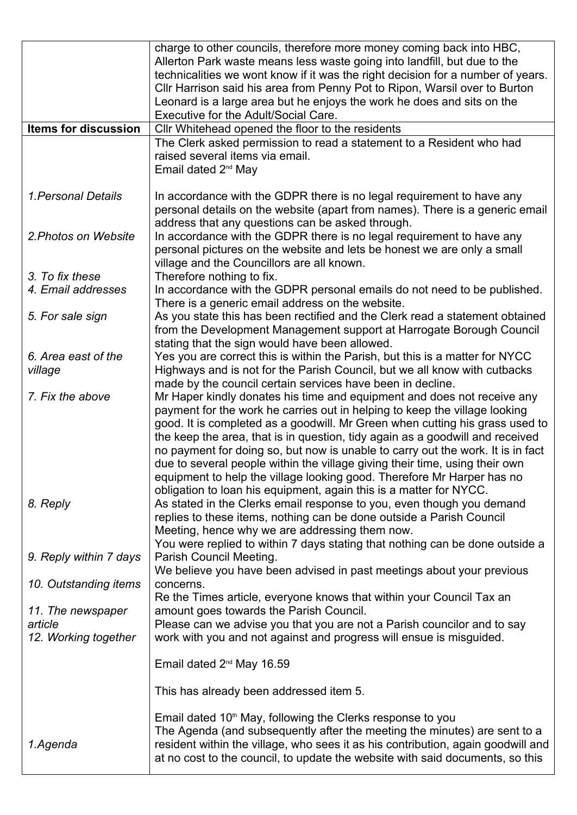|                                | charge to other councils, therefore more money coming back into HBC,<br>Allerton Park waste means less waste going into landfill, but due to the<br>technicalities we wont know if it was the right decision for a number of years.<br>Cllr Harrison said his area from Penny Pot to Ripon, Warsil over to Burton<br>Leonard is a large area but he enjoys the work he does and sits on the<br>Executive for the Adult/Social Care.                                                                                                                                                                                                      |
|--------------------------------|------------------------------------------------------------------------------------------------------------------------------------------------------------------------------------------------------------------------------------------------------------------------------------------------------------------------------------------------------------------------------------------------------------------------------------------------------------------------------------------------------------------------------------------------------------------------------------------------------------------------------------------|
| <b>Items for discussion</b>    | Cllr Whitehead opened the floor to the residents                                                                                                                                                                                                                                                                                                                                                                                                                                                                                                                                                                                         |
|                                |                                                                                                                                                                                                                                                                                                                                                                                                                                                                                                                                                                                                                                          |
|                                | The Clerk asked permission to read a statement to a Resident who had<br>raised several items via email.<br>Email dated 2 <sup>nd</sup> May                                                                                                                                                                                                                                                                                                                                                                                                                                                                                               |
| 1. Personal Details            | In accordance with the GDPR there is no legal requirement to have any<br>personal details on the website (apart from names). There is a generic email<br>address that any questions can be asked through.                                                                                                                                                                                                                                                                                                                                                                                                                                |
| 2. Photos on Website           | In accordance with the GDPR there is no legal requirement to have any<br>personal pictures on the website and lets be honest we are only a small<br>village and the Councillors are all known.                                                                                                                                                                                                                                                                                                                                                                                                                                           |
| 3. To fix these                | Therefore nothing to fix.                                                                                                                                                                                                                                                                                                                                                                                                                                                                                                                                                                                                                |
| 4. Email addresses             | In accordance with the GDPR personal emails do not need to be published.<br>There is a generic email address on the website.                                                                                                                                                                                                                                                                                                                                                                                                                                                                                                             |
| 5. For sale sign               | As you state this has been rectified and the Clerk read a statement obtained<br>from the Development Management support at Harrogate Borough Council<br>stating that the sign would have been allowed.                                                                                                                                                                                                                                                                                                                                                                                                                                   |
| 6. Area east of the<br>village | Yes you are correct this is within the Parish, but this is a matter for NYCC<br>Highways and is not for the Parish Council, but we all know with cutbacks<br>made by the council certain services have been in decline.                                                                                                                                                                                                                                                                                                                                                                                                                  |
| 7. Fix the above               | Mr Haper kindly donates his time and equipment and does not receive any<br>payment for the work he carries out in helping to keep the village looking<br>good. It is completed as a goodwill. Mr Green when cutting his grass used to<br>the keep the area, that is in question, tidy again as a goodwill and received<br>no payment for doing so, but now is unable to carry out the work. It is in fact<br>due to several people within the village giving their time, using their own<br>equipment to help the village looking good. Therefore Mr Harper has no<br>obligation to loan his equipment, again this is a matter for NYCC. |
| 8. Reply                       | As stated in the Clerks email response to you, even though you demand<br>replies to these items, nothing can be done outside a Parish Council<br>Meeting, hence why we are addressing them now.<br>You were replied to within 7 days stating that nothing can be done outside a                                                                                                                                                                                                                                                                                                                                                          |
| 9. Reply within 7 days         | Parish Council Meeting.<br>We believe you have been advised in past meetings about your previous                                                                                                                                                                                                                                                                                                                                                                                                                                                                                                                                         |
| 10. Outstanding items          | concerns.<br>Re the Times article, everyone knows that within your Council Tax an                                                                                                                                                                                                                                                                                                                                                                                                                                                                                                                                                        |
| 11. The newspaper              | amount goes towards the Parish Council.                                                                                                                                                                                                                                                                                                                                                                                                                                                                                                                                                                                                  |
| article                        | Please can we advise you that you are not a Parish councilor and to say                                                                                                                                                                                                                                                                                                                                                                                                                                                                                                                                                                  |
| 12. Working together           | work with you and not against and progress will ensue is misguided.                                                                                                                                                                                                                                                                                                                                                                                                                                                                                                                                                                      |
|                                | Email dated 2 <sup>nd</sup> May 16.59                                                                                                                                                                                                                                                                                                                                                                                                                                                                                                                                                                                                    |
|                                | This has already been addressed item 5.                                                                                                                                                                                                                                                                                                                                                                                                                                                                                                                                                                                                  |
| 1.Agenda                       | Email dated 10 <sup>th</sup> May, following the Clerks response to you<br>The Agenda (and subsequently after the meeting the minutes) are sent to a<br>resident within the village, who sees it as his contribution, again goodwill and<br>at no cost to the council, to update the website with said documents, so this                                                                                                                                                                                                                                                                                                                 |